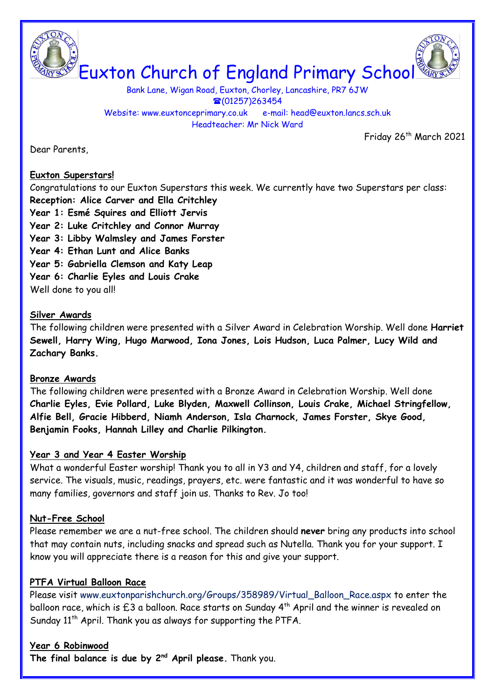



Bank Lane, Wigan Road, Euxton, Chorley, Lancashire, PR7 6JW  $\textcircled{1257}$ )263454 Website: www.euxtonceprimary.co.uk e-mail: [head@euxton.lancs.sch.uk](mailto:head@euxton.lancs.sch.uk) Headteacher: Mr Nick Ward

Friday 26<sup>th</sup> March 2021

Dear Parents,

#### **Euxton Superstars!**

Congratulations to our Euxton Superstars this week. We currently have two Superstars per class: **Reception: Alice Carver and Ella Critchley**

- **Year 1: Esmé Squires and Elliott Jervis**
- **Year 2: Luke Critchley and Connor Murray**
- **Year 3: Libby Walmsley and James Forster**
- **Year 4: Ethan Lunt and Alice Banks**
- **Year 5: Gabriella Clemson and Katy Leap**
- **Year 6: Charlie Eyles and Louis Crake**

Well done to you all!

#### **Silver Awards**

The following children were presented with a Silver Award in Celebration Worship. Well done **Harriet Sewell, Harry Wing, Hugo Marwood, Iona Jones, Lois Hudson, Luca Palmer, Lucy Wild and Zachary Banks.**

#### **Bronze Awards**

The following children were presented with a Bronze Award in Celebration Worship. Well done **Charlie Eyles, Evie Pollard, Luke Blyden, Maxwell Collinson, Louis Crake, Michael Stringfellow, Alfie Bell, Gracie Hibberd, Niamh Anderson, Isla Charnock, James Forster, Skye Good, Benjamin Fooks, Hannah Lilley and Charlie Pilkington.**

### **Year 3 and Year 4 Easter Worship**

What a wonderful Easter worship! Thank you to all in Y3 and Y4, children and staff, for a lovely service. The visuals, music, readings, prayers, etc. were fantastic and it was wonderful to have so many families, governors and staff join us. Thanks to Rev. Jo too!

### **Nut-Free School**

Please remember we are a nut-free school. The children should **never** bring any products into school that may contain nuts, including snacks and spread such as Nutella. Thank you for your support. I know you will appreciate there is a reason for this and give your support.

### **PTFA Virtual Balloon Race**

Please visit [www.euxtonparishchurch.org/Groups/358989/Virtual\\_Balloon\\_Race.aspx](http://www.euxtonparishchurch.org/Groups/358989/Virtual_Balloon_Race.aspx) to enter the balloon race, which is  $£3$  a balloon. Race starts on Sunday  $4^{th}$  April and the winner is revealed on Sunday  $11<sup>th</sup>$  April. Thank you as always for supporting the PTFA.

### **Year 6 Robinwood**

**The final balance is due by 2nd April please.** Thank you.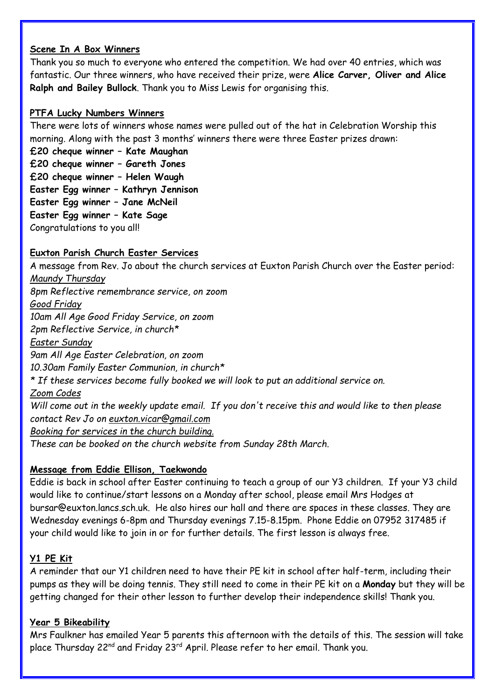#### **Scene In A Box Winners**

Thank you so much to everyone who entered the competition. We had over 40 entries, which was fantastic. Our three winners, who have received their prize, were **Alice Carver, Oliver and Alice Ralph and Bailey Bullock**. Thank you to Miss Lewis for organising this.

### **PTFA Lucky Numbers Winners**

There were lots of winners whose names were pulled out of the hat in Celebration Worship this morning. Along with the past 3 months' winners there were three Easter prizes drawn:

**£20 cheque winner – Kate Maughan £20 cheque winner – Gareth Jones £20 cheque winner – Helen Waugh Easter Egg winner – Kathryn Jennison Easter Egg winner – Jane McNeil Easter Egg winner – Kate Sage** Congratulations to you all!

### **Euxton Parish Church Easter Services**

A message from Rev. Jo about the church services at Euxton Parish Church over the Easter period: *Maundy Thursday 8pm Reflective remembrance service, on zoom Good Friday 10am All Age Good Friday Service, on zoom 2pm Reflective Service, in church\* Easter Sunday 9am All Age Easter Celebration, on zoom 10.30am Family Easter Communion, in church\* \* If these services become fully booked we will look to put an additional service on. Zoom Codes* Will come out in the weekly update email. If you don't receive this and would like to then please *contact Rev Jo on [euxton.vicar@gmail.com](mailto:euxton.vicar@gmail.com) Booking for services in the church building. These can be booked on the church website from Sunday 28th March.*

### **Message from Eddie Ellison, Taekwondo**

Eddie is back in school after Easter continuing to teach a group of our Y3 children. If your Y3 child would like to continue/start lessons on a Monday after school, please email Mrs Hodges at [bursar@euxton.lancs.sch.uk.](mailto:bursar@euxton.lancs.sch.uk) He also hires our hall and there are spaces in these classes. They are Wednesday evenings 6-8pm and Thursday evenings 7.15-8.15pm. Phone Eddie on 07952 317485 if your child would like to join in or for further details. The first lesson is always free.

### **Y1 PE Kit**

A reminder that our Y1 children need to have their PE kit in school after half-term, including their pumps as they will be doing tennis. They still need to come in their PE kit on a **Monday** but they will be getting changed for their other lesson to further develop their independence skills! Thank you.

### **Year 5 Bikeability**

Mrs Faulkner has emailed Year 5 parents this afternoon with the details of this. The session will take place Thursday 22<sup>nd</sup> and Friday 23<sup>rd</sup> April. Please refer to her email. Thank you.